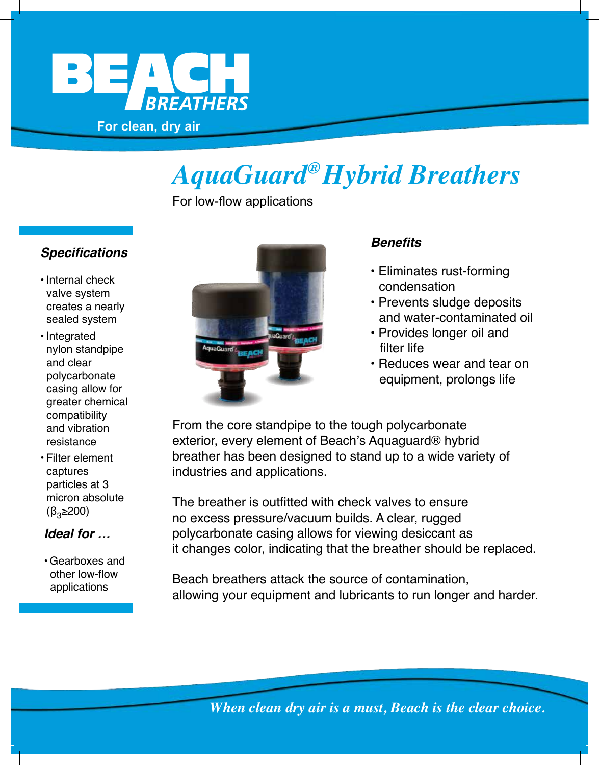

# *AquaGuard ® Hybrid Breathers*

For low-flow applications

### **Specifications**

- Internal check valve system creates a nearly sealed system
- Integrated nylon standpipe and clear polycarbonate casing allow for greater chemical compatibility and vibration resistance
- Filter element captures particles at 3 micron absolute  $(\beta_3 \geq 200)$

### **Ideal for …**

• Gearboxes and other low-flow applications



#### **Benefits**

- Eliminates rust-forming condensation
- Prevents sludge deposits and water-contaminated oil
- Provides longer oil and
- Reduces wear and tear on equipment, prolongs life

From the core standpipe to the tough polycarbonate exterior, every element of Beach's Aquaguard® hybrid breather has been designed to stand up to a wide variety of industries and applications.

The breather is outfitted with check valves to ensure no excess pressure/vacuum builds. A clear, rugged polycarbonate casing allows for viewing desiccant as it changes color, indicating that the breather should be replaced.

Beach breathers attack the source of contamination, allowing your equipment and lubricants to run longer and harder.

*When clean dry air is a must, Beach is the clear choice.*